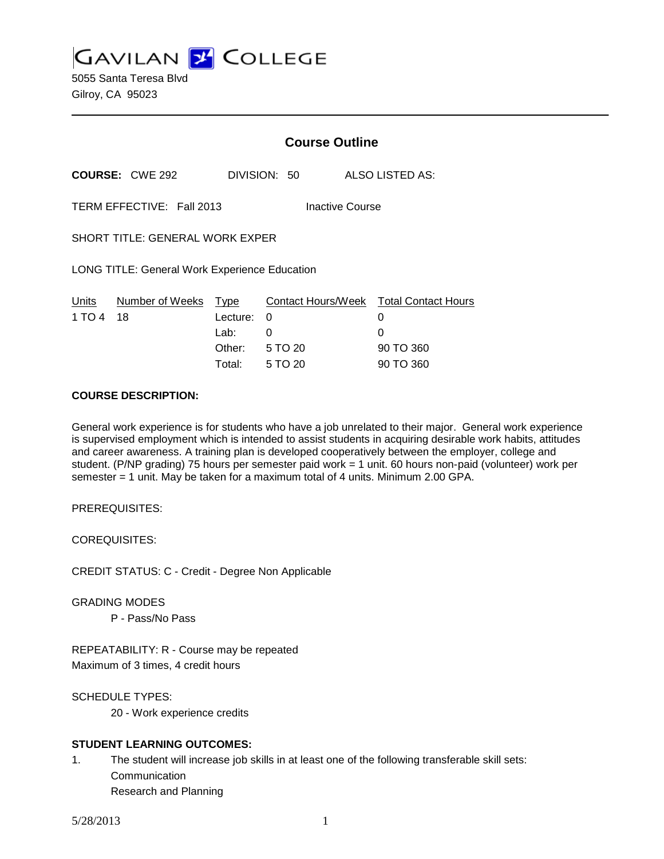**GAVILAN 2 COLLEGE** 

5055 Santa Teresa Blvd Gilroy, CA 95023

|                                                      |                        | <b>Course Outline</b> |                                             |   |                 |
|------------------------------------------------------|------------------------|-----------------------|---------------------------------------------|---|-----------------|
|                                                      | <b>COURSE:</b> CWE 292 |                       | DIVISION: 50                                |   | ALSO LISTED AS: |
| TERM EFFECTIVE: Fall 2013<br><b>Inactive Course</b>  |                        |                       |                                             |   |                 |
| SHORT TITLE: GENERAL WORK EXPER                      |                        |                       |                                             |   |                 |
| <b>LONG TITLE: General Work Experience Education</b> |                        |                       |                                             |   |                 |
| Units<br>1 TO 4                                      | Number of Weeks<br>18  | Type<br>Lecture:      | Contact Hours/Week Total Contact Hours<br>0 | 0 |                 |
|                                                      |                        | Lab:                  | 0                                           | 0 |                 |
|                                                      |                        |                       | Other: 5 TO 20                              |   | 90 TO 360       |
|                                                      |                        | Total:                | 5 TO 20                                     |   | 90 TO 360       |

#### **COURSE DESCRIPTION:**

General work experience is for students who have a job unrelated to their major. General work experience is supervised employment which is intended to assist students in acquiring desirable work habits, attitudes and career awareness. A training plan is developed cooperatively between the employer, college and student. (P/NP grading) 75 hours per semester paid work = 1 unit. 60 hours non-paid (volunteer) work per semester = 1 unit. May be taken for a maximum total of 4 units. Minimum 2.00 GPA.

PREREQUISITES:

COREQUISITES:

CREDIT STATUS: C - Credit - Degree Non Applicable

GRADING MODES

P - Pass/No Pass

REPEATABILITY: R - Course may be repeated Maximum of 3 times, 4 credit hours

SCHEDULE TYPES:

20 - Work experience credits

## **STUDENT LEARNING OUTCOMES:**

1. The student will increase job skills in at least one of the following transferable skill sets: Communication Research and Planning